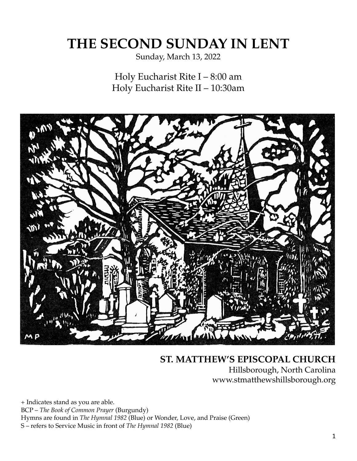# **THE SECOND SUNDAY IN LENT**

Sunday, March 13, 2022

Holy Eucharist Rite I – 8:00 am Holy Eucharist Rite II – 10:30am



# **ST. MATTHEW'S EPISCOPAL CHURCH** Hillsborough, North Carolina www.stmatthewshillsborough.org

+ Indicates stand as you are able. BCP – *The Book of Common Prayer* (Burgundy) Hymns are found in *The Hymnal 1982* (Blue) or Wonder, Love, and Praise (Green) S – refers to Service Music in front of *The Hymnal 1982* (Blue)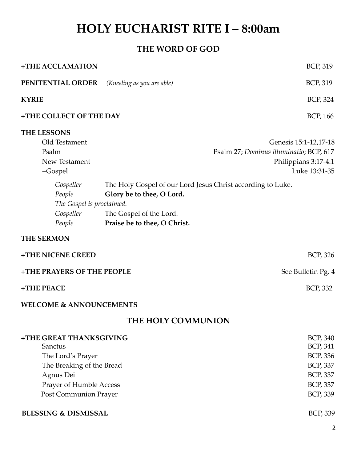# **HOLY EUCHARIST RITE I – 8:00am**

# **THE WORD OF GOD**

| +THE ACCLAMATION                                                                                                                                                           |                                                                                                                                                     | BCP, 319                                                                                                     |  |  |
|----------------------------------------------------------------------------------------------------------------------------------------------------------------------------|-----------------------------------------------------------------------------------------------------------------------------------------------------|--------------------------------------------------------------------------------------------------------------|--|--|
| PENITENTIAL ORDER                                                                                                                                                          | (Kneeling as you are able)                                                                                                                          | BCP, 319                                                                                                     |  |  |
| <b>KYRIE</b>                                                                                                                                                               |                                                                                                                                                     | BCP, 324                                                                                                     |  |  |
| +THE COLLECT OF THE DAY                                                                                                                                                    |                                                                                                                                                     | BCP, 166                                                                                                     |  |  |
| <b>THE LESSONS</b><br>Old Testament<br>Psalm<br>New Testament<br>$+Gospel$<br>Gospeller<br>People<br>The Gospel is proclaimed.<br>Gospeller<br>People<br><b>THE SERMON</b> | The Holy Gospel of our Lord Jesus Christ according to Luke.<br>Glory be to thee, O Lord.<br>The Gospel of the Lord.<br>Praise be to thee, O Christ. | Genesis 15:1-12,17-18<br>Psalm 27; Dominus illuminatio; BCP, 617<br>Philippians 3:17-4:1<br>Luke 13:31-35    |  |  |
| +THE NICENE CREED                                                                                                                                                          |                                                                                                                                                     | BCP, 326                                                                                                     |  |  |
| +THE PRAYERS OF THE PEOPLE                                                                                                                                                 |                                                                                                                                                     | See Bulletin Pg. 4                                                                                           |  |  |
| +THE PEACE                                                                                                                                                                 |                                                                                                                                                     | BCP, 332                                                                                                     |  |  |
| <b>WELCOME &amp; ANNOUNCEMENTS</b>                                                                                                                                         |                                                                                                                                                     |                                                                                                              |  |  |
| THE HOLY COMMUNION                                                                                                                                                         |                                                                                                                                                     |                                                                                                              |  |  |
| +THE GREAT THANKSGIVING<br>Sanctus<br>The Lord's Prayer<br>The Breaking of the Bread<br>Agnus Dei<br>Prayer of Humble Access<br><b>Post Communion Prayer</b>               |                                                                                                                                                     | BCP, 340<br><b>BCP, 341</b><br>BCP, 336<br><b>BCP, 337</b><br><b>BCP, 337</b><br><b>BCP, 337</b><br>BCP, 339 |  |  |
| <b>BLESSING &amp; DISMISSAL</b>                                                                                                                                            |                                                                                                                                                     | BCP, 339                                                                                                     |  |  |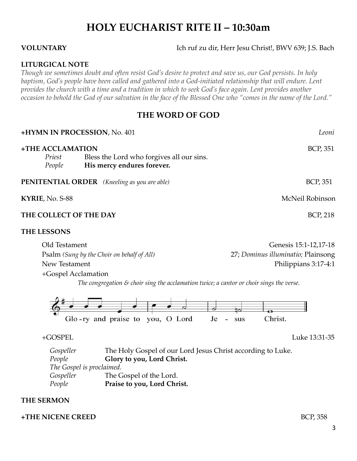# **HOLY EUCHARIST RITE II – 10:30am**

**VOLUNTARY** Ich ruf zu dir, Herr Jesu Christ!, BWV 639; J.S. Bach

# **LITURGICAL NOTE**

*Though we sometimes doubt and often resist God's desire to protect and save us, our God persists. In holy baptism, God's people have been called and gathered into a God-initiated relationship that will endure. Lent provides the church with a time and a tradition in which to seek God's face again. Lent provides another occasion to behold the God of our salvation in the face of the Blessed One who "comes in the name of the Lord."*

# **THE WORD OF GOD**

| +HYMN IN PROCESSION, No. 401                        |                                                                         | Leoni           |
|-----------------------------------------------------|-------------------------------------------------------------------------|-----------------|
| +THE ACCLAMATION<br>Priest<br>People                | Bless the Lord who forgives all our sins.<br>His mercy endures forever. | <b>BCP, 351</b> |
| <b>PENITENTIAL ORDER</b> (Kneeling as you are able) |                                                                         | <b>BCP, 351</b> |
| KYRIE, No. S-88                                     |                                                                         | McNeil Robinson |
| THE COLLECT OF THE DAY                              |                                                                         | <b>BCP, 218</b> |

### **THE LESSONS**

| Old Testament                              | Genesis 15:1-12,17-18              |
|--------------------------------------------|------------------------------------|
| Psalm (Sung by the Choir on behalf of All) | 27; Dominus illuminatio; Plainsong |
| New Testament                              | Philippians 3:17-4:1               |
| +Gospel Acclamation                        |                                    |

*The congregation & choir sing the acclamation twice; a cantor or choir sings the verse.*



+GOSPEL Luke 13:31-35

*Gospeller* The Holy Gospel of our Lord Jesus Christ according to Luke. *People* **Glory to you, Lord Christ.** *The Gospel is proclaimed. Gospeller* The Gospel of the Lord. *People* **Praise to you, Lord Christ.**

# **THE SERMON**

# **+THE NICENE CREED** BCP, 358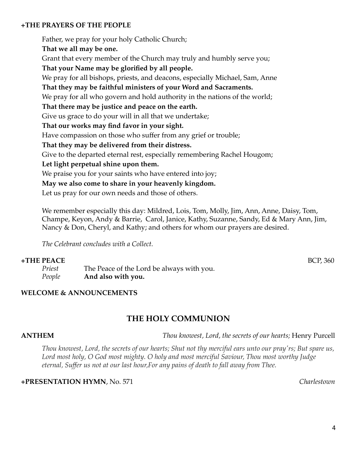# **+THE PRAYERS OF THE PEOPLE**

Father, we pray for your holy Catholic Church; **That we all may be one.** Grant that every member of the Church may truly and humbly serve you; **That your Name may be glorified by all people.** We pray for all bishops, priests, and deacons, especially Michael, Sam, Anne **That they may be faithful ministers of your Word and Sacraments.** We pray for all who govern and hold authority in the nations of the world; **That there may be justice and peace on the earth.** Give us grace to do your will in all that we undertake; **That our works may find favor in your sight.** Have compassion on those who suffer from any grief or trouble; **That they may be delivered from their distress.** Give to the departed eternal rest, especially remembering Rachel Hougom; **Let light perpetual shine upon them.** We praise you for your saints who have entered into joy; **May we also come to share in your heavenly kingdom.** Let us pray for our own needs and those of others.

We remember especially this day: Mildred, Lois, Tom, Molly, Jim, Ann, Anne, Daisy, Tom, Champe, Keyon, Andy & Barrie, Carol, Janice, Kathy, Suzanne, Sandy, Ed & Mary Ann, Jim, Nancy & Don, Cheryl, and Kathy; and others for whom our prayers are desired.

*The Celebrant concludes with a Collect.*

# **+THE PEACE** BCP, 360

*Priest* The Peace of the Lord be always with you. *People* **And also with you.**

# **WELCOME & ANNOUNCEMENTS**

# **THE HOLY COMMUNION**

**ANTHEM** *Thou knowest, Lord, the secrets of our hearts;* Henry Purcell

Thou knowest, Lord, the secrets of our hearts; Shut not thy merciful ears unto our pray'rs; But spare us, *Lord most holy, O God most mighty. O holy and most merciful Saviour, Thou most worthy Judge eternal, Suffer us not at our last hour,For any pains of death to fall away from Thee.*

# **+PRESENTATION HYMN**, No. 571 *Charlestown*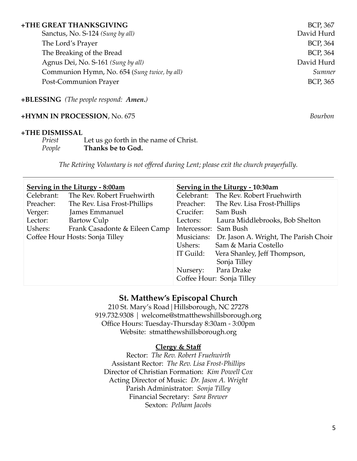Sanctus, No. 5-124 *(Sung by all)* David Hurd The Lord's Prayer BCP, 364 The Breaking of the Bread BCP, 364 Agnus Dei, No. S-161 *(Sung by all)* David Hurd Communion Hymn, No. 654 (*Sung twice, by all) Sumner* Post-Communion Prayer BCP, 365

**+BLESSING** *(The people respond: Amen.)*

# **+HYMN IN PROCESSION**, No. 675 *Bourbon*

# **+THE DISMISSAL**

| Priest | Let us go forth in the name of Christ. |
|--------|----------------------------------------|
| People | Thanks be to God.                      |

*The Retiring Voluntary is not offered during Lent; please exit the church prayerfully.*

| Serving in the Liturgy - 8:00am |                               | <b>Serving in the Liturgy - 10:30am</b> |                                       |  |
|---------------------------------|-------------------------------|-----------------------------------------|---------------------------------------|--|
| Celebrant:                      | The Rev. Robert Fruehwirth    |                                         | Celebrant: The Rev. Robert Fruehwirth |  |
| Preacher:                       | The Rev. Lisa Frost-Phillips  | Preacher:                               | The Rev. Lisa Frost-Phillips          |  |
| Verger:                         | James Emmanuel                | Crucifer:                               | Sam Bush                              |  |
| Lector:                         | <b>Bartow Culp</b>            | Lectors:                                | Laura Middlebrooks, Bob Shelton       |  |
| Ushers:                         | Frank Casadonte & Eileen Camp | Intercessor: Sam Bush                   |                                       |  |
| Coffee Hour Hosts: Sonja Tilley |                               | Musicians:                              | Dr. Jason A. Wright, The Parish Choir |  |
|                                 |                               | Ushers:                                 | Sam & Maria Costello                  |  |
|                                 |                               | IT Guild:                               | Vera Shanley, Jeff Thompson,          |  |
|                                 |                               |                                         | Sonja Tilley                          |  |
|                                 |                               | Nursery:                                | Para Drake                            |  |
|                                 |                               | Coffee Hour: Sonja Tilley               |                                       |  |

# **St. Matthew's Episcopal Church**

210 St. Mary's Road|Hillsborough, NC 27278 919.732.9308 | welcome@stmatthewshillsborough.org Office Hours: Tuesday-Thursday 8:30am - 3:00pm Website: stmatthewshillsborough.org

# **Clergy & Staff**

Rector: *The Rev. Robert Fruehwirth* Assistant Rector: *The Rev. Lisa Frost-Phillips* Director of Christian Formation: *Kim Powell Cox* Acting Director of Music: *Dr. Jason A. Wright* Parish Administrator: *Sonja Tilley* Financial Secretary: *Sara Brewer* Sexton: *Pelham Jacobs*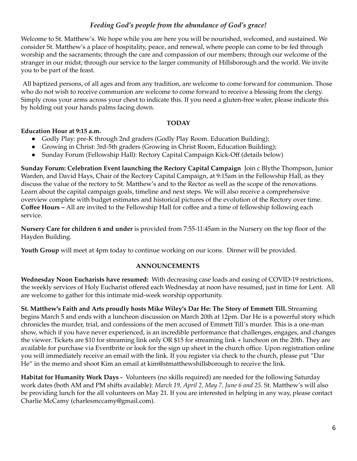# *Feeding God's people from the abundance of God's grace!*

Welcome to St. Matthew's. We hope while you are here you will be nourished, welcomed, and sustained. We consider St. Matthew's a place of hospitality, peace, and renewal, where people can come to be fed through worship and the sacraments; through the care and compassion of our members; through our welcome of the stranger in our midst; through our service to the larger community of Hillsborough and the world. We invite you to be part of the feast.

All baptized persons, of all ages and from any tradition, are welcome to come forward for communion. Those who do not wish to receive communion are welcome to come forward to receive a blessing from the clergy. Simply cross your arms across your chest to indicate this. If you need a gluten-free wafer, please indicate this by holding out your hands palms facing down.

# **TODAY**

# **Education Hour at 9:15 a.m.**

- Godly Play: pre-K through 2nd graders (Godly Play Room. Education Building);
- Growing in Christ: 3rd-5th graders (Growing in Christ Room, Education Building);
- Sunday Forum (Fellowship Hall): Rectory Capital Campaign Kick-Off (details below)

**Sunday Forum: Celebration Event launching the Rectory Capital Campaign** Join c Blythe Thompson, Junior Warden, and David Hays, Chair of the Rectory Capital Campaign, at 9:15am in the Fellowship Hall, as they discuss the value of the rectory to St. Matthew's and to the Rector as well as the scope of the renovations. Learn about the capital campaign goals, timeline and next steps. We will also receive a comprehensive overview complete with budget estimates and historical pictures of the evolution of the Rectory over time. **Coffee Hours –** All are invited to the Fellowship Hall for coffee and a time of fellowship following each service.

**Nursery Care for children 6 and under** is provided from 7:55-11:45am in the Nursery on the top floor of the Hayden Building.

**Youth Group** will meet at 4pm today to continue working on our icons. Dinner will be provided.

### **ANNOUNCEMENTS**

**Wednesday Noon Eucharists have resumed:** With decreasing case loads and easing of COVID-19 restrictions, the weekly services of Holy Eucharist offered each Wednesday at noon have resumed, just in time for Lent. All are welcome to gather for this intimate mid-week worship opportunity.

**St. Matthew's Faith and Arts proudly hosts Mike Wiley's Dar He: The Story of Emmett Till.** Streaming begins March 5 and ends with a luncheon discussion on March 20th at 12pm. Dar He is a powerful story which chronicles the murder, trial, and confessions of the men accused of Emmett Till's murder. This is a one-man show, which if you have never experienced, is an incredible performance that challenges, engages, and changes the viewer. Tickets are \$10 for streaming link only OR \$15 for streaming link + luncheon on the 20th. They are available for purchase via Eventbrite or look for the sign up sheet in the church office. Upon registration online you will immediately receive an email with the link. If you register via check to the church, please put "Dar He" in the memo and shoot Kim an email at kim@stmatthewshillsborough to receive the link.

**Habitat for Humanity Work Days -** Volunteers (no skills required) are needed for the following Saturday work dates (both AM and PM shifts available): *March 19, April 2, May 7, June 6 and 25*. St. Matthew's will also be providing lunch for the all volunteers on May 21. If you are interested in helping in any way, please contact Charlie McCamy (charlesmccamy@gmail.com).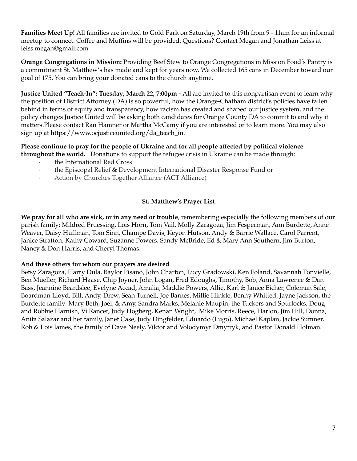**Families Meet Up!** All families are invited to Gold Park on Saturday, March 19th from 9 - 11am for an informal meetup to connect. Coffee and Muffins will be provided. Questions? Contact Megan and Jonathan Leiss at leiss.megan@gmail.com

**Orange Congregations in Mission:** Providing Beef Stew to Orange Congregations in Mission Food's Pantry is a commitment St. Matthew's has made and kept for years now. We collected 165 cans in December toward our goal of 175. You can bring your donated cans to the church anytime.

**Justice United "Teach-In": Tuesday, March 22, 7:00pm -** All are invited to this nonpartisan event to learn why the position of District Attorney (DA) is so powerful, how the Orange-Chatham district's policies have fallen behind in terms of equity and transparency, how racism has created and shaped our justice system, and the policy changes Justice United will be asking both candidates for Orange County DA to commit to and why it matters.Please contact Ran Hamner or Martha McCamy if you are interested or to learn more. You may also sign up at https://www.ocjusticeunited.org/da\_teach\_in.

### **Please continue to pray for the people of Ukraine and for all people affected by political violence throughout the world.** Donations to support the refugee crisis in Ukraine can be made through:

- the International Red Cross
- · the Episcopal Relief & Development International Disaster Response Fund or
- Action by Churches Together Alliance (ACT Alliance)

# **St. Matthew's Prayer List**

**We pray for all who are sick, or in any need or trouble**, remembering especially the following members of our parish family: Mildred Pruessing, Lois Horn, Tom Vail, Molly Zaragoza, Jim Fesperman, Ann Burdette, Anne Weaver, Daisy Huffman, Tom Sinn, Champe Davis, Keyon Hutson, Andy & Barrie Wallace, Carol Parrent, Janice Stratton, Kathy Coward, Suzanne Powers, Sandy McBride, Ed & Mary Ann Southern, Jim Burton, Nancy & Don Harris, and Cheryl Thomas.

### **And these others for whom our prayers are desired**

Betsy Zaragoza, Harry Dula, Baylor Pisano, John Charton, Lucy Gradowski, Ken Foland, Savannah Fonvielle, Ben Mueller, Richard Haase, Chip Joyner, John Logan, Fred Edoughs, Timothy, Bob, Anna Lawrence & Dan Bass, Jeannine Beardslee, Evelyne Accad, Amalia, Maddie Powers, Allie, Karl & Janice Eicher, Coleman Sale, Boardman Lloyd, Bill, Andy, Drew, Sean Turnell, Joe Barnes, Millie Hinkle, Benny Whitted, Jayne Jackson, the Burdette family: Mary Beth, Joel, & Amy, Sandra Marks; Melanie Maupin, the Tuckers and Spurlocks, Doug and Robbie Harnish, Vi Rancer, Judy Hogberg, Kenan Wright, Mike Morris, Reece, Harlon, Jim Hill, Donna, Anita Salazar and her family, Janet Case, Judy Dingfelder, Eduardo (Lugo), Michael Kaplan, Jackie Sumner, Rob & Lois James, the family of Dave Neely, Viktor and Volodymyr Dmytryk, and Pastor Donald Holman.